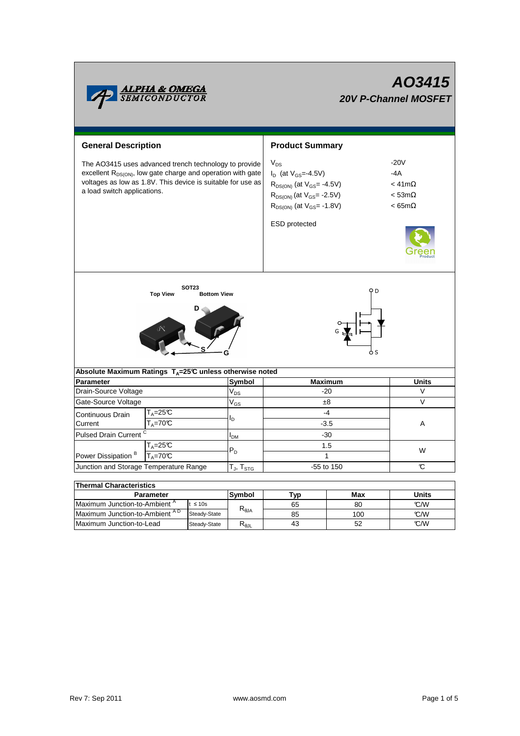|                                                                                                                                                                                                                                | <b>ALPHA &amp; OMEGA</b><br>SEMICONDUCTOR      |                   |                 | AO3415<br><b>20V P-Channel MOSFET</b>                                                                                                                                        |                                                                                  |        |  |  |
|--------------------------------------------------------------------------------------------------------------------------------------------------------------------------------------------------------------------------------|------------------------------------------------|-------------------|-----------------|------------------------------------------------------------------------------------------------------------------------------------------------------------------------------|----------------------------------------------------------------------------------|--------|--|--|
| <b>General Description</b>                                                                                                                                                                                                     |                                                |                   |                 | <b>Product Summary</b>                                                                                                                                                       |                                                                                  |        |  |  |
| The AO3415 uses advanced trench technology to provide<br>excellent R <sub>DS(ON)</sub> , low gate charge and operation with gate<br>voltages as low as 1.8V. This device is suitable for use as<br>a load switch applications. |                                                |                   |                 | $V_{DS}$<br>$I_D$ (at $V_{GS} = -4.5V$ )<br>$R_{DS(ON)}$ (at $V_{GS} = -4.5V$ )<br>$R_{DS(ON)}$ (at $V_{GS}$ = -2.5V)<br>$R_{DS(ON)}$ (at $V_{GS}$ = -1.8V)<br>ESD protected | $-20V$<br>$-4A$<br>$<$ 41m $\Omega$<br>$<$ 53m $\Omega$<br>$< 65 \text{m}\Omega$ |        |  |  |
| <b>SOT23</b><br>Q D<br><b>Top View</b><br><b>Bottom View</b><br>Absolute Maximum Ratings $T_A = 25^\circ \text{C}$ unless otherwise noted                                                                                      |                                                |                   |                 |                                                                                                                                                                              |                                                                                  |        |  |  |
|                                                                                                                                                                                                                                |                                                |                   | Symbol          | <b>Maximum</b>                                                                                                                                                               | <b>Units</b>                                                                     |        |  |  |
| <b>Parameter</b><br>Drain-Source Voltage                                                                                                                                                                                       |                                                |                   | V <sub>DS</sub> | $-20$                                                                                                                                                                        |                                                                                  | V      |  |  |
| Gate-Source Voltage                                                                                                                                                                                                            |                                                |                   | $V_{GS}$        | ±8                                                                                                                                                                           |                                                                                  | $\vee$ |  |  |
| Continuous Drain<br>Current                                                                                                                                                                                                    | $T_A = 25C$<br>$T_A = 70^\circ C$              |                   | lD.             | $-4$<br>$-3.5$                                                                                                                                                               |                                                                                  | Α      |  |  |
| Pulsed Drain Current <sup>C</sup>                                                                                                                                                                                              |                                                | I <sub>DM</sub>   | $-30$           |                                                                                                                                                                              |                                                                                  |        |  |  |
|                                                                                                                                                                                                                                | $T_A = 25\overline{C}$                         |                   |                 | 1.5                                                                                                                                                                          |                                                                                  | W      |  |  |
| $T_A = 70C$<br>Power Dissipation <sup>B</sup>                                                                                                                                                                                  |                                                |                   | $P_D$           | $\mathbf{1}$                                                                                                                                                                 |                                                                                  |        |  |  |
| Junction and Storage Temperature Range                                                                                                                                                                                         |                                                | $T_J$ , $T_{STG}$ | -55 to 150      |                                                                                                                                                                              | C                                                                                |        |  |  |
|                                                                                                                                                                                                                                |                                                |                   |                 |                                                                                                                                                                              |                                                                                  |        |  |  |
| <b>Thermal Characteristics</b>                                                                                                                                                                                                 |                                                |                   |                 |                                                                                                                                                                              |                                                                                  |        |  |  |
| <b>Parameter</b>                                                                                                                                                                                                               |                                                | Symbol            | <u>Typ</u>      | Max                                                                                                                                                                          | Units                                                                            |        |  |  |
| Maximum Junction-to-Ambient <sup>A</sup><br>$t \leq 10s$                                                                                                                                                                       |                                                |                   | $R_{0,IA}$      | 65                                                                                                                                                                           | 80                                                                               | C/W    |  |  |
|                                                                                                                                                                                                                                | Maximum Junction-to-Ambient AD<br>Steady-State |                   |                 | 85                                                                                                                                                                           | 100                                                                              | °C/W   |  |  |
| Maximum Junction-to-Lead                                                                                                                                                                                                       |                                                | Steady-State      | $R_{\rm BH}$    | 43                                                                                                                                                                           | 52                                                                               | °C/W   |  |  |

Maximum Junction-to-Lead

Steady-State R<sub>θJL</sub>

52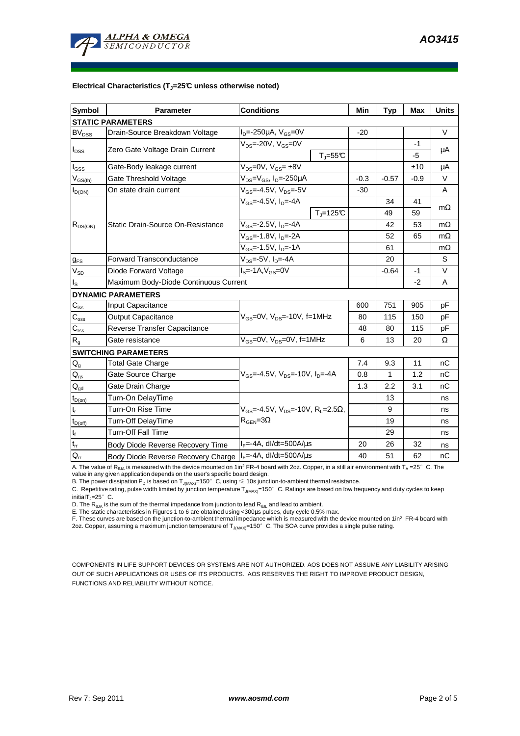

## **Electrical Characteristics (TJ=25°C unless otherwise noted)**

| <b>Symbol</b>                    | <b>Parameter</b>                                                                     | <b>Conditions</b>                                    | Min   | <b>Typ</b> | <b>Max</b> | <b>Units</b> |  |  |  |  |  |
|----------------------------------|--------------------------------------------------------------------------------------|------------------------------------------------------|-------|------------|------------|--------------|--|--|--|--|--|
| <b>STATIC PARAMETERS</b>         |                                                                                      |                                                      |       |            |            |              |  |  |  |  |  |
| <b>BV<sub>DSS</sub></b>          | Drain-Source Breakdown Voltage                                                       | $I_{D} = -250 \mu A$ , $V_{GS} = 0V$                 | $-20$ |            |            | $\vee$       |  |  |  |  |  |
| $I_{DSS}$                        | Zero Gate Voltage Drain Current                                                      | $V_{DS}$ =-20V, $V_{GS}$ =0V                         |       |            | $-1$       | $\mu$ A      |  |  |  |  |  |
|                                  |                                                                                      | $T_{\parallel} = 55$ °C                              |       |            | -5         |              |  |  |  |  |  |
| $I_{GSS}$                        | Gate-Body leakage current                                                            | $V_{DS} = 0V$ , $V_{GS} = \pm 8V$                    |       |            | ±10        | μA           |  |  |  |  |  |
| $V_{GS(th)}$                     | Gate Threshold Voltage                                                               | $V_{DS}$ = $V_{GS}$ , I <sub>D</sub> =-250µA         |       | $-0.57$    | -0.9       | V            |  |  |  |  |  |
| $I_{D(ON)}$                      | On state drain current                                                               | $V_{GS}$ =-4.5V, $V_{DS}$ =-5V                       | $-30$ |            |            | A            |  |  |  |  |  |
| $R_{DS(ON)}$                     |                                                                                      | $V_{GS} = -4.5V$ , $I_D = -4A$                       |       | 34         | 41         | $m\Omega$    |  |  |  |  |  |
|                                  |                                                                                      | $Tj=125C$                                            |       | 49         | 59         |              |  |  |  |  |  |
|                                  | Static Drain-Source On-Resistance                                                    | V <sub>GS</sub> =-2.5V, I <sub>D</sub> =-4A          |       | 42         | 53         | $m\Omega$    |  |  |  |  |  |
|                                  |                                                                                      | V <sub>GS</sub> =-1.8V, I <sub>D</sub> =-2A          |       | 52         | 65         | $m\Omega$    |  |  |  |  |  |
|                                  |                                                                                      | $V_{GS}$ =-1.5V, $I_{D}$ =-1A                        |       | 61         |            | $m\Omega$    |  |  |  |  |  |
| $g_{FS}$                         | <b>Forward Transconductance</b><br>$V_{DS}$ =-5V, $I_{D}$ =-4A                       |                                                      |       | 20         |            | S            |  |  |  |  |  |
| $V_{SD}$                         | $IS=-1A, VGS=0V$<br>Diode Forward Voltage                                            |                                                      |       | $-0.64$    | $-1$       | V            |  |  |  |  |  |
| $I_{\rm S}$                      | Maximum Body-Diode Continuous Current                                                |                                                      |       | $-2$       | A          |              |  |  |  |  |  |
|                                  | <b>DYNAMIC PARAMETERS</b>                                                            |                                                      |       |            |            |              |  |  |  |  |  |
| $C_{iss}$                        | Input Capacitance                                                                    |                                                      | 600   | 751        | 905        | pF           |  |  |  |  |  |
| $\overline{C_{\underline{oss}}}$ | Output Capacitance                                                                   | $V_{GS}$ =0V, $V_{DS}$ =-10V, f=1MHz                 | 80    | 115        | 150        | pF           |  |  |  |  |  |
| $C_{\text{rss}}$                 | Reverse Transfer Capacitance                                                         |                                                      | 48    | 80         | 115        | pF           |  |  |  |  |  |
| $R_{g}$                          | Gate resistance                                                                      | $V_{GS}$ =0V, $V_{DS}$ =0V, f=1MHz                   | 6     | 13         | 20         | Ω            |  |  |  |  |  |
|                                  | <b>SWITCHING PARAMETERS</b>                                                          |                                                      |       |            |            |              |  |  |  |  |  |
| $Q_{q}$                          | <b>Total Gate Charge</b>                                                             |                                                      | 7.4   | 9.3        | 11         | nC           |  |  |  |  |  |
| $Q_{gs}$                         | Gate Source Charge                                                                   | $V_{GS}$ =-4.5V, $V_{DS}$ =-10V, I <sub>D</sub> =-4A | 0.8   | 1          | 1.2        | nC           |  |  |  |  |  |
| $\mathsf{Q}_{\text{gd}}$         | Gate Drain Charge                                                                    |                                                      | 1.3   | 2.2        | 3.1        | nС           |  |  |  |  |  |
| $t_{D(0n)}$                      | Turn-On DelayTime                                                                    |                                                      |       | 13         |            | ns           |  |  |  |  |  |
| t,                               | Turn-On Rise Time<br>$V_{GS}$ =-4.5V, $V_{DS}$ =-10V, R <sub>L</sub> =2.5 $\Omega$ , |                                                      |       | 9          |            | ns           |  |  |  |  |  |
| $t_{D(off)}$                     | Turn-Off DelayTime                                                                   | $R_{\text{GEN}} = 3\Omega$                           |       | 19         |            | ns           |  |  |  |  |  |
| $\mathbf{t}_\text{f}$            | <b>Turn-Off Fall Time</b>                                                            |                                                      |       | 29         |            | ns           |  |  |  |  |  |
| $t_{rr}$                         | Body Diode Reverse Recovery Time                                                     | $I_F = -4A$ , dl/dt=500A/ $\mu$ s                    | 20    | 26         | 32         | ns           |  |  |  |  |  |
| $Q_{rr}$                         | Body Diode Reverse Recovery Charge   IF=-4A, dl/dt=500A/us                           |                                                      | 40    | 51         | 62         | nC           |  |  |  |  |  |

A. The value of  $R_{\theta_0A}$  is measured with the device mounted on 1in<sup>2</sup> FR-4 board with 2oz. Copper, in a still air environment with T<sub>A</sub> =25°C. The

value in any given application depends on the user's specific board design.<br>B. The power dissipation P<sub>D</sub> is based on T<sub>J(MAX)</sub>=150°C, using ≤ 10s junction-to-ambient thermal resistance.

C. Repetitive rating, pulse width limited by junction temperature  $T_{J(MAX)}$ =150°C. Ratings are based on low frequency and duty cycles to keep initialT $_J=25^\circ$  C.

D. The  $R_{\theta JA}$  is the sum of the thermal impedance from junction to lead  $R_{\theta JL}$  and lead to ambient.

E. The static characteristics in Figures 1 to 6 are obtained using <300µs pulses, duty cycle 0.5% max.

F. These curves are based on the junction-to-ambient thermal impedance which is measured with the device mounted on 1in<sup>2</sup> FR-4 board with 2oz. Copper, assuming a maximum junction temperature of  $T_{J(MAX)}$ =150°C. The SOA curve provides a single pulse rating.

COMPONENTS IN LIFE SUPPORT DEVICES OR SYSTEMS ARE NOT AUTHORIZED. AOS DOES NOT ASSUME ANY LIABILITY ARISING OUT OF SUCH APPLICATIONS OR USES OF ITS PRODUCTS. AOS RESERVES THE RIGHT TO IMPROVE PRODUCT DESIGN, FUNCTIONS AND RELIABILITY WITHOUT NOTICE.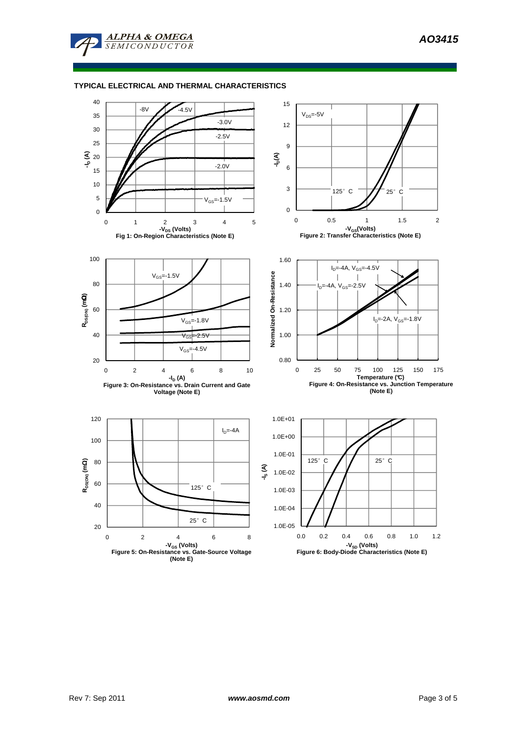

**ALPHA & OMEGA SEMICONDUCTOR** 

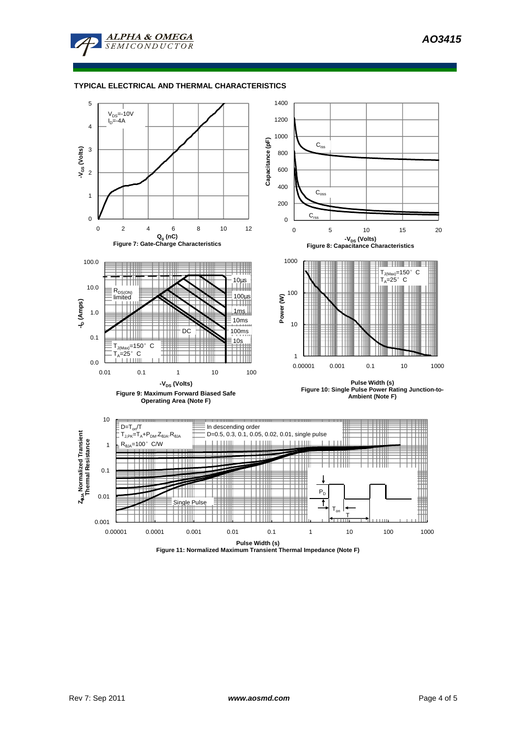

## **TYPICAL ELECTRICAL AND THERMAL CHARACTERISTICS**